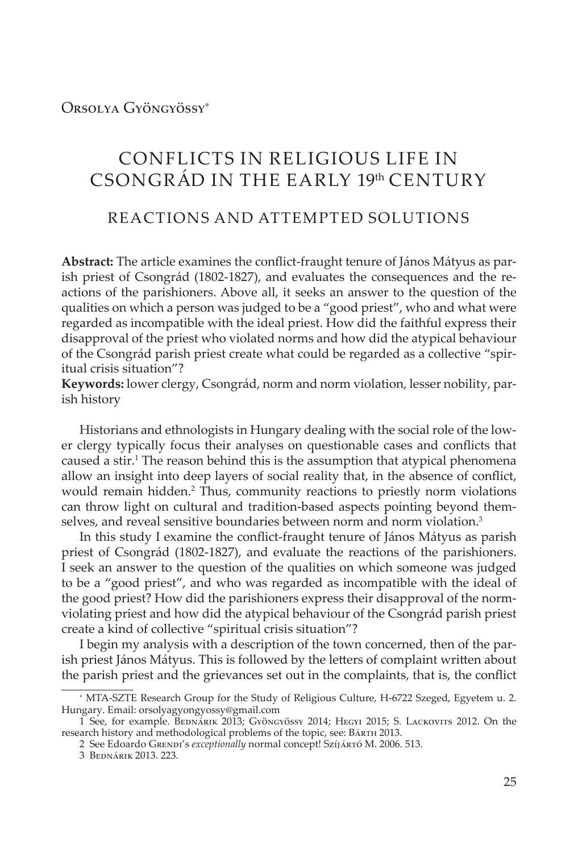Orsolya Gyöngyössy\*

# CONFLICTS IN RELIGIOUS LIFE IN CSONGRÁD IN THE EARLY 19th CENTURY

## REACTIONS AND ATTEMPTED SOLUTIONS

**Abstract:** The article examines the conflict-fraught tenure of János Mátyus as parish priest of Csongrád (1802-1827), and evaluates the consequences and the reactions of the parishioners. Above all, it seeks an answer to the question of the qualities on which a person was judged to be a "good priest", who and what were regarded as incompatible with the ideal priest. How did the faithful express their disapproval of the priest who violated norms and how did the atypical behaviour of the Csongrád parish priest create what could be regarded as a collective "spiritual crisis situation"?

**Keywords:** lower clergy, Csongrád, norm and norm violation, lesser nobility, parish history

Historians and ethnologists in Hungary dealing with the social role of the lower clergy typically focus their analyses on questionable cases and conflicts that caused a stir.<sup>1</sup> The reason behind this is the assumption that atypical phenomena allow an insight into deep layers of social reality that, in the absence of conflict, would remain hidden.<sup>2</sup> Thus, community reactions to priestly norm violations can throw light on cultural and tradition-based aspects pointing beyond themselves, and reveal sensitive boundaries between norm and norm violation.<sup>3</sup>

In this study I examine the conflict-fraught tenure of János Mátyus as parish priest of Csongrád (1802-1827), and evaluate the reactions of the parishioners. I seek an answer to the question of the qualities on which someone was judged to be a "good priest", and who was regarded as incompatible with the ideal of the good priest? How did the parishioners express their disapproval of the normviolating priest and how did the atypical behaviour of the Csongrád parish priest create a kind of collective "spiritual crisis situation"?

I begin my analysis with a description of the town concerned, then of the parish priest János Mátyus. This is followed by the letters of complaint written about the parish priest and the grievances set out in the complaints, that is, the conflict

<sup>\*</sup> MTA-SZTE Research Group for the Study of Religious Culture, H-6722 Szeged, Egyetem u. 2. Hungary. Email: orsolyagyongyossy@gmail.com

<sup>1</sup> See, for example. BEDNÁRIK 2013; Gyöngyössy 2014; HEGYI 2015; S. LACKOVITS 2012. On the research history and methodological problems of the topic, see: Bárth 2013.

<sup>2</sup> See Edoardo Grendi's *exceptionally* normal concept! Szíjártó M. 2006. 513.

<sup>3</sup> Bednárik 2013. 223.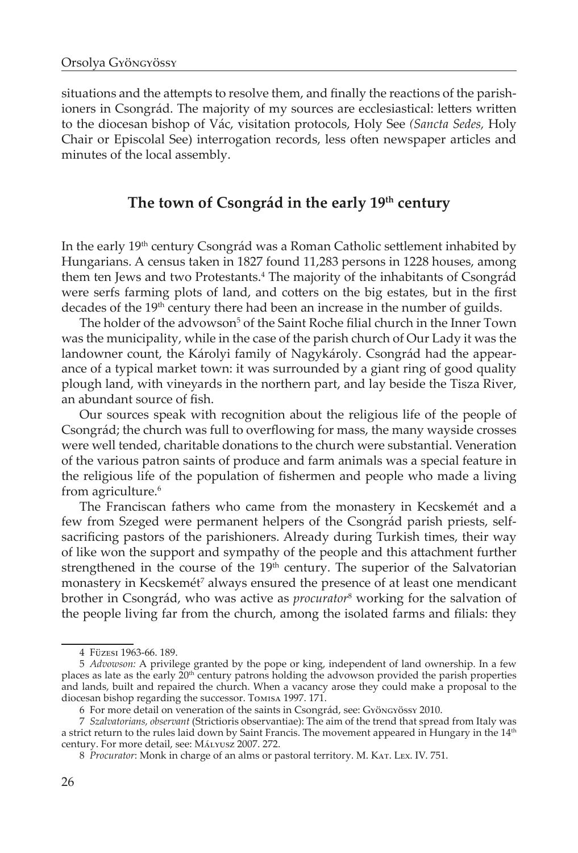situations and the attempts to resolve them, and finally the reactions of the parishioners in Csongrád. The majority of my sources are ecclesiastical: letters written to the diocesan bishop of Vác, visitation protocols, Holy See *(Sancta Sedes,* Holy Chair or Episcolal See) interrogation records, less often newspaper articles and minutes of the local assembly.

## **The town of Csongrád in the early 19th century**

In the early 19<sup>th</sup> century Csongrád was a Roman Catholic settlement inhabited by Hungarians. A census taken in 1827 found 11,283 persons in 1228 houses, among them ten Jews and two Protestants.4 The majority of the inhabitants of Csongrád were serfs farming plots of land, and cotters on the big estates, but in the first decades of the 19<sup>th</sup> century there had been an increase in the number of guilds.

The holder of the advowson<sup>5</sup> of the Saint Roche filial church in the Inner Town was the municipality, while in the case of the parish church of Our Lady it was the landowner count, the Károlyi family of Nagykároly. Csongrád had the appearance of a typical market town: it was surrounded by a giant ring of good quality plough land, with vineyards in the northern part, and lay beside the Tisza River, an abundant source of fish.

Our sources speak with recognition about the religious life of the people of Csongrád; the church was full to overflowing for mass, the many wayside crosses were well tended, charitable donations to the church were substantial. Veneration of the various patron saints of produce and farm animals was a special feature in the religious life of the population of fishermen and people who made a living from agriculture.<sup>6</sup>

The Franciscan fathers who came from the monastery in Kecskemét and a few from Szeged were permanent helpers of the Csongrád parish priests, selfsacrificing pastors of the parishioners. Already during Turkish times, their way of like won the support and sympathy of the people and this attachment further strengthened in the course of the 19<sup>th</sup> century. The superior of the Salvatorian monastery in Kecskemét<sup>7</sup> always ensured the presence of at least one mendicant brother in Csongrád, who was active as *procurator*<sup>8</sup> working for the salvation of the people living far from the church, among the isolated farms and filials: they

<sup>4</sup> Füzesi 1963-66. 189.

<sup>5</sup> *Advowson:* A privilege granted by the pope or king, independent of land ownership. In a few places as late as the early  $20<sup>th</sup>$  century patrons holding the advowson provided the parish properties and lands, built and repaired the church. When a vacancy arose they could make a proposal to the diocesan bishop regarding the successor. Tomisa 1997. 171.

<sup>6</sup> For more detail on veneration of the saints in Csongrád, see: Gyöngyössy 2010.

<sup>7</sup> *Szalvatorians, observant* (Strictioris observantiae): The aim of the trend that spread from Italy was a strict return to the rules laid down by Saint Francis. The movement appeared in Hungary in the 14<sup>th</sup> century. For more detail, see: Mályusz 2007. 272.

<sup>8</sup> *Procurator*: Monk in charge of an alms or pastoral territory. M. KAT. LEX. IV. 751.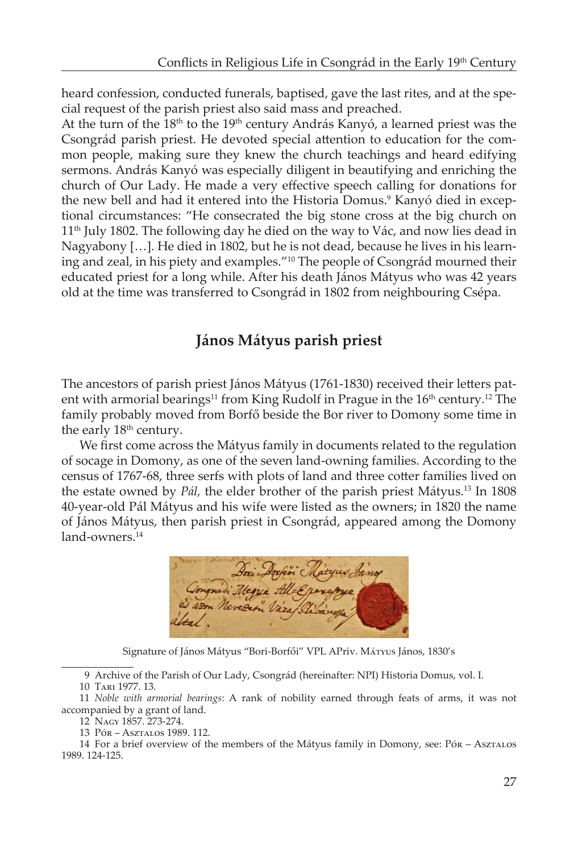heard confession, conducted funerals, baptised, gave the last rites, and at the special request of the parish priest also said mass and preached.

At the turn of the 18<sup>th</sup> to the 19<sup>th</sup> century András Kanyó, a learned priest was the Csongrád parish priest. He devoted special attention to education for the common people, making sure they knew the church teachings and heard edifying sermons. András Kanyó was especially diligent in beautifying and enriching the church of Our Lady. He made a very effective speech calling for donations for the new bell and had it entered into the Historia Domus.<sup>9</sup> Kanyó died in exceptional circumstances: "He consecrated the big stone cross at the big church on  $11<sup>th</sup>$  July 1802. The following day he died on the way to Vác, and now lies dead in Nagyabony […]. He died in 1802, but he is not dead, because he lives in his learning and zeal, in his piety and examples."10 The people of Csongrád mourned their educated priest for a long while. After his death János Mátyus who was 42 years old at the time was transferred to Csongrád in 1802 from neighbouring Csépa.

## **János Mátyus parish priest**

The ancestors of parish priest János Mátyus (1761-1830) received their letters patent with armorial bearings<sup>11</sup> from King Rudolf in Prague in the 16<sup>th</sup> century.<sup>12</sup> The family probably moved from Borfő beside the Bor river to Domony some time in the early 18<sup>th</sup> century.

We first come across the Mátyus family in documents related to the regulation of socage in Domony, as one of the seven land-owning families. According to the census of 1767-68, three serfs with plots of land and three cotter families lived on the estate owned by *Pál,* the elder brother of the parish priest Mátyus.13 In 1808 40-year-old Pál Mátyus and his wife were listed as the owners; in 1820 the name of János Mátyus, then parish priest in Csongrád, appeared among the Domony land-owners.<sup>14</sup>

Congrad Merye All-Eperg<br>2 am Nevezer" Vara Didon

Signature of János Mátyus "Bori-Borfői" VPL APriv. Mátyus János, 1830's

9 Archive of the Parish of Our Lady, Csongrád (hereinafter: NPI) Historia Domus, vol. I.

11 *Noble with armorial bearings*: A rank of nobility earned through feats of arms, it was not accompanied by a grant of land.

<sup>10</sup> Tari 1977. 13.

<sup>12</sup> Nagy 1857. 273-274.

<sup>13</sup> Pór – Asztalos 1989. 112.

<sup>14</sup> For a brief overview of the members of the Mátyus family in Domony, see: Pór – Asztalos 1989. 124-125.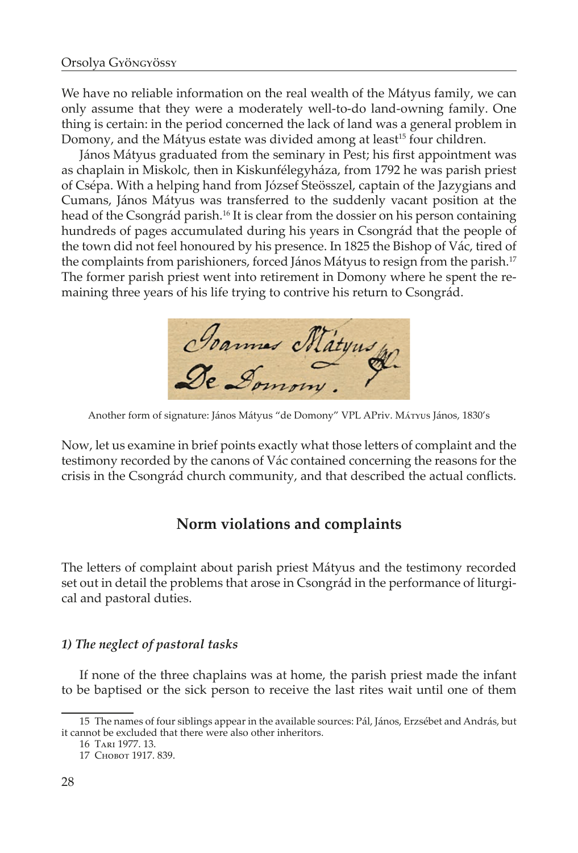We have no reliable information on the real wealth of the Mátyus family, we can only assume that they were a moderately well-to-do land-owning family. One thing is certain: in the period concerned the lack of land was a general problem in Domony, and the Mátyus estate was divided among at least<sup>15</sup> four children.

János Mátyus graduated from the seminary in Pest; his first appointment was as chaplain in Miskolc, then in Kiskunfélegyháza, from 1792 he was parish priest of Csépa. With a helping hand from József Steösszel, captain of the Jazygians and Cumans, János Mátyus was transferred to the suddenly vacant position at the head of the Csongrád parish.16 It is clear from the dossier on his person containing hundreds of pages accumulated during his years in Csongrád that the people of the town did not feel honoured by his presence. In 1825 the Bishop of Vác, tired of the complaints from parishioners, forced János Mátyus to resign from the parish.<sup>17</sup> The former parish priest went into retirement in Domony where he spent the remaining three years of his life trying to contrive his return to Csongrád.

Jeannes Matyus

Another form of signature: János Mátyus "de Domony" VPL APriv. Mátyus János, 1830's

Now, let us examine in brief points exactly what those letters of complaint and the testimony recorded by the canons of Vác contained concerning the reasons for the crisis in the Csongrád church community, and that described the actual conflicts.

### **Norm violations and complaints**

The letters of complaint about parish priest Mátyus and the testimony recorded set out in detail the problems that arose in Csongrád in the performance of liturgical and pastoral duties.

#### *1) The neglect of pastoral tasks*

If none of the three chaplains was at home, the parish priest made the infant to be baptised or the sick person to receive the last rites wait until one of them

<sup>15</sup> The names of four siblings appear in the available sources: Pál, János, Erzsébet and András, but it cannot be excluded that there were also other inheritors.

<sup>16</sup> Tari 1977. 13.

<sup>17</sup> Chobot 1917. 839.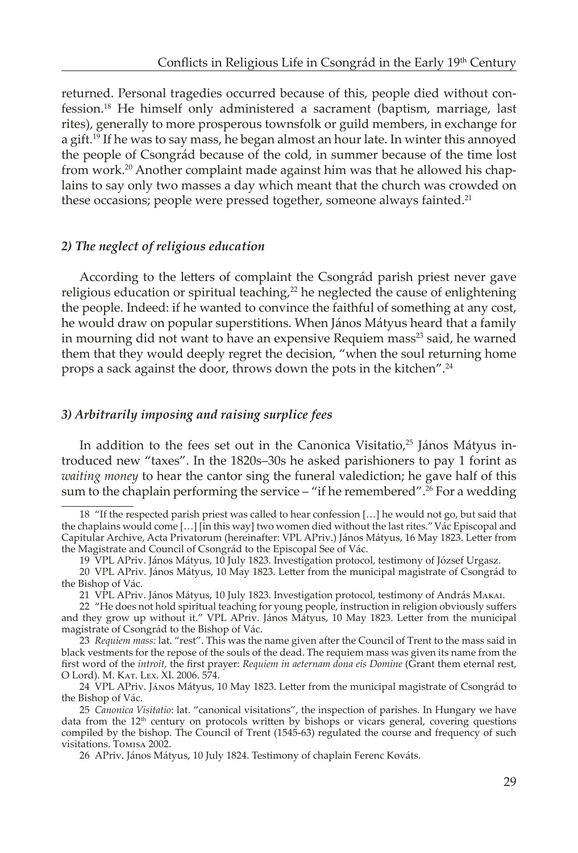returned. Personal tragedies occurred because of this, people died without confession.18 He himself only administered a sacrament (baptism, marriage, last rites), generally to more prosperous townsfolk or guild members, in exchange for a gift.<sup>19</sup> If he was to say mass, he began almost an hour late. In winter this annoyed the people of Csongrád because of the cold, in summer because of the time lost from work.<sup>20</sup> Another complaint made against him was that he allowed his chaplains to say only two masses a day which meant that the church was crowded on these occasions; people were pressed together, someone always fainted.<sup>21</sup>

#### *2) The neglect of religious education*

According to the letters of complaint the Csongrád parish priest never gave religious education or spiritual teaching, $22$  he neglected the cause of enlightening the people. Indeed: if he wanted to convince the faithful of something at any cost, he would draw on popular superstitions. When János Mátyus heard that a family in mourning did not want to have an expensive Requiem mass<sup>23</sup> said, he warned them that they would deeply regret the decision, "when the soul returning home props a sack against the door, throws down the pots in the kitchen".24

#### *3) Arbitrarily imposing and raising surplice fees*

In addition to the fees set out in the Canonica Visitatio,<sup>25</sup> János Mátyus introduced new "taxes". In the 1820s–30s he asked parishioners to pay 1 forint as *waiting money* to hear the cantor sing the funeral valediction; he gave half of this sum to the chaplain performing the service – "if he remembered".<sup>26</sup> For a wedding

<sup>18 &</sup>quot;If the respected parish priest was called to hear confession […] he would not go, but said that the chaplains would come […] [in this way] two women died without the last rites."Vác Episcopal and Capitular Archive, Acta Privatorum (hereinafter: VPL APriv.) János Mátyus, 16 May 1823. Letter from the Magistrate and Council of Csongrád to the Episcopal See of Vác.

<sup>19</sup> VPL APriv. János Mátyus, 10 July 1823. Investigation protocol, testimony of József Urgasz.

<sup>20</sup> VPL APriv. János Mátyus, 10 May 1823. Letter from the municipal magistrate of Csongrád to the Bishop of Vác.

<sup>21</sup> VPL APriv. János Mátyus, 10 July 1823. Investigation protocol, testimony of András Makai.

<sup>22 &</sup>quot;He does not hold spiritual teaching for young people, instruction in religion obviously suffers and they grow up without it." VPL APriv. János Mátyus, 10 May 1823. Letter from the municipal magistrate of Csongrád to the Bishop of Vác.

<sup>23</sup> *Requiem mass:* lat. "rest". This was the name given after the Council of Trent to the mass said in black vestments for the repose of the souls of the dead. The requiem mass was given its name from the first word of the *introit,* the first prayer: *Requiem in aeternam dona eis Domine* (Grant them eternal rest, O Lord). M. Kat. Lex. XI. 2006. 574.

<sup>24</sup> VPL APriv. János Mátyus, 10 May 1823. Letter from the municipal magistrate of Csongrád to the Bishop of Vác.

<sup>25</sup> *Canonica Visitatio*: lat. "canonical visitations", the inspection of parishes. In Hungary we have data from the  $12<sup>th</sup>$  century on protocols written by bishops or vicars general, covering questions compiled by the bishop. The Council of Trent (1545-63) regulated the course and frequency of such visitations. Tomisa 2002.

<sup>26</sup> APriv. János Mátyus, 10 July 1824. Testimony of chaplain Ferenc Kováts.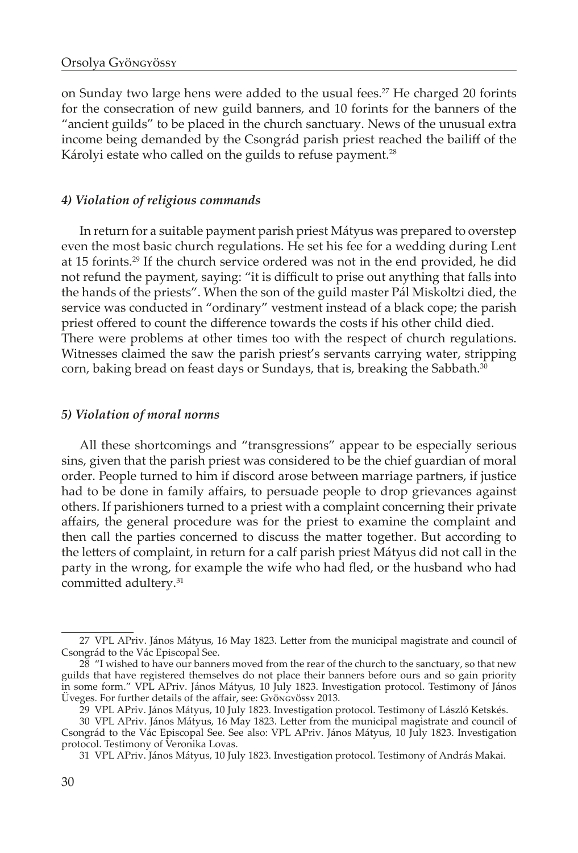on Sunday two large hens were added to the usual fees.<sup>27</sup> He charged 20 forints for the consecration of new guild banners, and 10 forints for the banners of the "ancient guilds" to be placed in the church sanctuary. News of the unusual extra income being demanded by the Csongrád parish priest reached the bailiff of the Károlyi estate who called on the guilds to refuse payment.<sup>28</sup>

#### *4) Violation of religious commands*

In return for a suitable payment parish priest Mátyus was prepared to overstep even the most basic church regulations. He set his fee for a wedding during Lent at 15 forints.29 If the church service ordered was not in the end provided, he did not refund the payment, saying: "it is difficult to prise out anything that falls into the hands of the priests". When the son of the guild master Pál Miskoltzi died, the service was conducted in "ordinary" vestment instead of a black cope; the parish priest offered to count the difference towards the costs if his other child died. There were problems at other times too with the respect of church regulations. Witnesses claimed the saw the parish priest's servants carrying water, stripping corn, baking bread on feast days or Sundays, that is, breaking the Sabbath.<sup>30</sup>

#### *5) Violation of moral norms*

All these shortcomings and "transgressions" appear to be especially serious sins, given that the parish priest was considered to be the chief guardian of moral order. People turned to him if discord arose between marriage partners, if justice had to be done in family affairs, to persuade people to drop grievances against others. If parishioners turned to a priest with a complaint concerning their private affairs, the general procedure was for the priest to examine the complaint and then call the parties concerned to discuss the matter together. But according to the letters of complaint, in return for a calf parish priest Mátyus did not call in the party in the wrong, for example the wife who had fled, or the husband who had committed adultery.<sup>31</sup>

<sup>27</sup> VPL APriv. János Mátyus, 16 May 1823. Letter from the municipal magistrate and council of Csongrád to the Vác Episcopal See.

 $28$  "I wished to have our banners moved from the rear of the church to the sanctuary, so that new guilds that have registered themselves do not place their banners before ours and so gain priority in some form." VPL APriv. János Mátyus, 10 July 1823. Investigation protocol. Testimony of János Üveges. For further details of the affair, see: Gyöngyössy 2013.

<sup>29</sup> VPL APriv. János Mátyus, 10 July 1823. Investigation protocol. Testimony of László Ketskés.

<sup>30</sup> VPL APriv. János Mátyus, 16 May 1823. Letter from the municipal magistrate and council of Csongrád to the Vác Episcopal See. See also: VPL APriv. János Mátyus, 10 July 1823. Investigation protocol. Testimony of Veronika Lovas.

<sup>31</sup> VPL APriv. János Mátyus, 10 July 1823. Investigation protocol. Testimony of András Makai.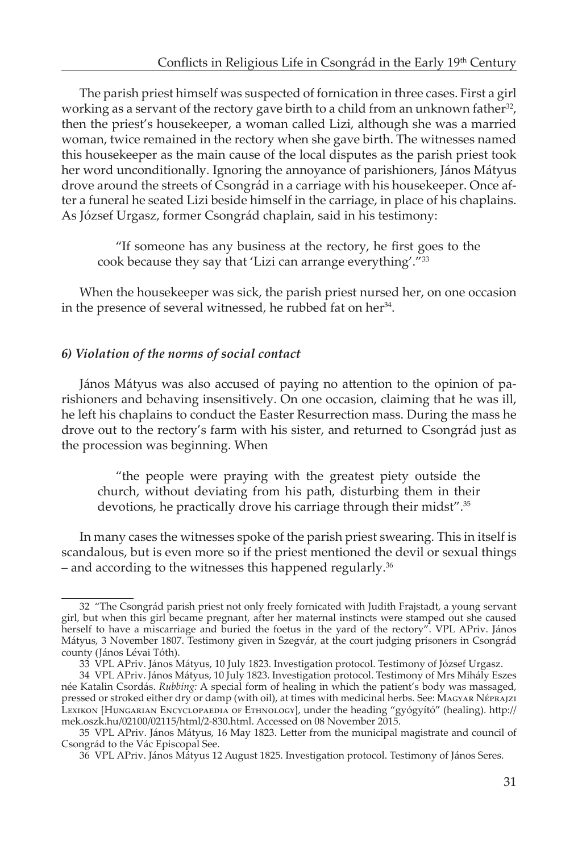The parish priest himself was suspected of fornication in three cases. First a girl working as a servant of the rectory gave birth to a child from an unknown father<sup>32</sup>, then the priest's housekeeper, a woman called Lizi, although she was a married woman, twice remained in the rectory when she gave birth. The witnesses named this housekeeper as the main cause of the local disputes as the parish priest took her word unconditionally. Ignoring the annoyance of parishioners, János Mátyus drove around the streets of Csongrád in a carriage with his housekeeper. Once after a funeral he seated Lizi beside himself in the carriage, in place of his chaplains. As József Urgasz, former Csongrád chaplain, said in his testimony:

"If someone has any business at the rectory, he first goes to the cook because they say that 'Lizi can arrange everything'."33

When the housekeeper was sick, the parish priest nursed her, on one occasion in the presence of several witnessed, he rubbed fat on her $34$ .

#### *6) Violation of the norms of social contact*

János Mátyus was also accused of paying no attention to the opinion of parishioners and behaving insensitively. On one occasion, claiming that he was ill, he left his chaplains to conduct the Easter Resurrection mass. During the mass he drove out to the rectory's farm with his sister, and returned to Csongrád just as the procession was beginning. When

"the people were praying with the greatest piety outside the church, without deviating from his path, disturbing them in their devotions, he practically drove his carriage through their midst".<sup>35</sup>

In many cases the witnesses spoke of the parish priest swearing. This in itself is scandalous, but is even more so if the priest mentioned the devil or sexual things – and according to the witnesses this happened regularly.<sup>36</sup>

<sup>32 &</sup>quot;The Csongrád parish priest not only freely fornicated with Judith Frajstadt, a young servant girl, but when this girl became pregnant, after her maternal instincts were stamped out she caused herself to have a miscarriage and buried the foetus in the yard of the rectory". VPL APriv. János Mátyus, 3 November 1807. Testimony given in Szegvár, at the court judging prisoners in Csongrád county (János Lévai Tóth).

<sup>33</sup> VPL APriv. János Mátyus, 10 July 1823. Investigation protocol. Testimony of József Urgasz.

<sup>34</sup> VPL APriv. János Mátyus, 10 July 1823. Investigation protocol. Testimony of Mrs Mihály Eszes née Katalin Csordás. *Rubbing:* A special form of healing in which the patient's body was massaged, pressed or stroked either dry or damp (with oil), at times with medicinal herbs. See: Magyar Néprajzi Lexikon [Hungarian Encyclopaedia of Ethnology], under the heading "gyógyító" (healing). http:// mek.oszk.hu/02100/02115/html/2-830.html. Accessed on 08 November 2015.

<sup>35</sup> VPL APriv. János Mátyus, 16 May 1823. Letter from the municipal magistrate and council of Csongrád to the Vác Episcopal See.

<sup>36</sup> VPL APriv. János Mátyus 12 August 1825. Investigation protocol. Testimony of János Seres.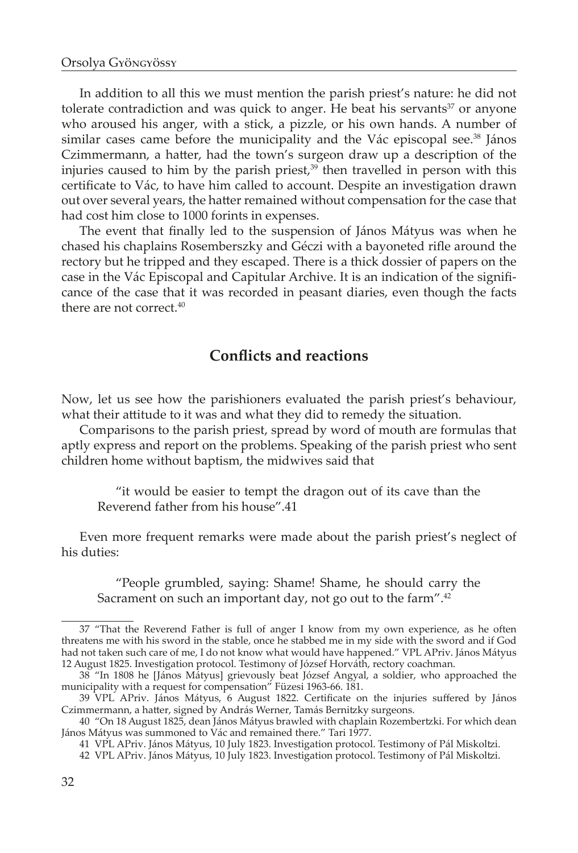In addition to all this we must mention the parish priest's nature: he did not tolerate contradiction and was quick to anger. He beat his servants $37$  or anyone who aroused his anger, with a stick, a pizzle, or his own hands. A number of similar cases came before the municipality and the Vác episcopal see.<sup>38</sup> János Czimmermann, a hatter, had the town's surgeon draw up a description of the injuries caused to him by the parish priest,<sup>39</sup> then travelled in person with this certificate to Vác, to have him called to account. Despite an investigation drawn out over several years, the hatter remained without compensation for the case that had cost him close to 1000 forints in expenses.

The event that finally led to the suspension of János Mátyus was when he chased his chaplains Rosemberszky and Géczi with a bayoneted rifle around the rectory but he tripped and they escaped. There is a thick dossier of papers on the case in the Vác Episcopal and Capitular Archive. It is an indication of the significance of the case that it was recorded in peasant diaries, even though the facts there are not correct. $40$ 

## **Conflicts and reactions**

Now, let us see how the parishioners evaluated the parish priest's behaviour, what their attitude to it was and what they did to remedy the situation.

Comparisons to the parish priest, spread by word of mouth are formulas that aptly express and report on the problems. Speaking of the parish priest who sent children home without baptism, the midwives said that

"it would be easier to tempt the dragon out of its cave than the Reverend father from his house".41

Even more frequent remarks were made about the parish priest's neglect of his duties:

"People grumbled, saying: Shame! Shame, he should carry the Sacrament on such an important day, not go out to the farm".<sup>42</sup>

<sup>37 &</sup>quot;That the Reverend Father is full of anger I know from my own experience, as he often threatens me with his sword in the stable, once he stabbed me in my side with the sword and if God had not taken such care of me, I do not know what would have happened." VPL APriv. János Mátyus 12 August 1825. Investigation protocol. Testimony of József Horváth, rectory coachman.

<sup>38 &</sup>quot;In 1808 he [János Mátyus] grievously beat József Angyal, a soldier, who approached the municipality with a request for compensation" Füzesi 1963-66. 181.

<sup>39</sup> VPL APriv. János Mátyus, 6 August 1822. Certificate on the injuries suffered by János Czimmermann, a hatter, signed by András Werner, Tamás Bernitzky surgeons.

<sup>40 &</sup>quot;On 18 August 1825, dean János Mátyus brawled with chaplain Rozembertzki. For which dean János Mátyus was summoned to Vác and remained there." Tari 1977.

<sup>41</sup> VPL APriv. János Mátyus, 10 July 1823. Investigation protocol. Testimony of Pál Miskoltzi.

<sup>42</sup> VPL APriv. János Mátyus, 10 July 1823. Investigation protocol. Testimony of Pál Miskoltzi.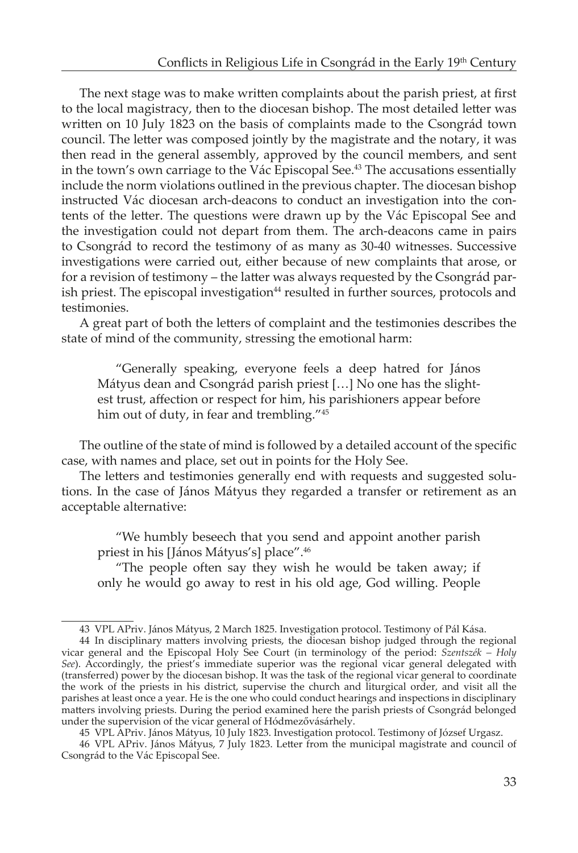The next stage was to make written complaints about the parish priest, at first to the local magistracy, then to the diocesan bishop. The most detailed letter was written on 10 July 1823 on the basis of complaints made to the Csongrád town council. The letter was composed jointly by the magistrate and the notary, it was then read in the general assembly, approved by the council members, and sent in the town's own carriage to the Vác Episcopal See.<sup>43</sup> The accusations essentially include the norm violations outlined in the previous chapter. The diocesan bishop instructed Vác diocesan arch-deacons to conduct an investigation into the contents of the letter. The questions were drawn up by the Vác Episcopal See and the investigation could not depart from them. The arch-deacons came in pairs to Csongrád to record the testimony of as many as 30-40 witnesses. Successive investigations were carried out, either because of new complaints that arose, or for a revision of testimony – the latter was always requested by the Csongrád parish priest. The episcopal investigation<sup>44</sup> resulted in further sources, protocols and testimonies.

A great part of both the letters of complaint and the testimonies describes the state of mind of the community, stressing the emotional harm:

"Generally speaking, everyone feels a deep hatred for János Mátyus dean and Csongrád parish priest […] No one has the slightest trust, affection or respect for him, his parishioners appear before him out of duty, in fear and trembling."45

The outline of the state of mind is followed by a detailed account of the specific case, with names and place, set out in points for the Holy See.

The letters and testimonies generally end with requests and suggested solutions. In the case of János Mátyus they regarded a transfer or retirement as an acceptable alternative:

"We humbly beseech that you send and appoint another parish priest in his [János Mátyus's] place".46

"The people often say they wish he would be taken away; if only he would go away to rest in his old age, God willing. People

<sup>43</sup> VPL APriv. János Mátyus, 2 March 1825. Investigation protocol. Testimony of Pál Kása.

<sup>44</sup> In disciplinary matters involving priests, the diocesan bishop judged through the regional vicar general and the Episcopal Holy See Court (in terminology of the period: *Szentszék – Holy See*). Accordingly, the priest's immediate superior was the regional vicar general delegated with (transferred) power by the diocesan bishop. It was the task of the regional vicar general to coordinate the work of the priests in his district, supervise the church and liturgical order, and visit all the parishes at least once a year. He is the one who could conduct hearings and inspections in disciplinary matters involving priests. During the period examined here the parish priests of Csongrád belonged under the supervision of the vicar general of Hódmezővásárhely.

<sup>45</sup> VPL APriv. János Mátyus, 10 July 1823. Investigation protocol. Testimony of József Urgasz.

<sup>46</sup> VPL APriv. János Mátyus, 7 July 1823. Letter from the municipal magistrate and council of Csongrád to the Vác Episcopal See.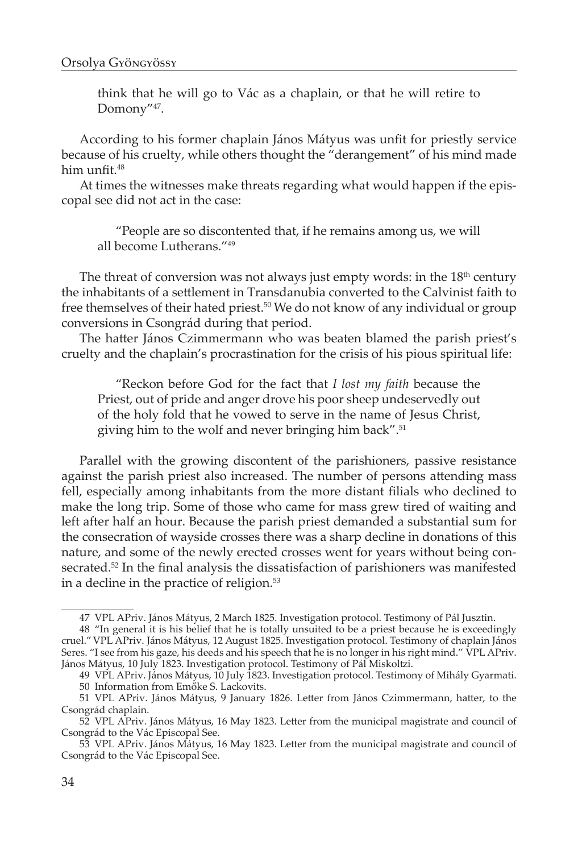think that he will go to Vác as a chaplain, or that he will retire to Domony"47.

According to his former chaplain János Mátyus was unfit for priestly service because of his cruelty, while others thought the "derangement" of his mind made him unfit.<sup>48</sup>

At times the witnesses make threats regarding what would happen if the episcopal see did not act in the case:

"People are so discontented that, if he remains among us, we will all become Lutherans."49

The threat of conversion was not always just empty words: in the  $18<sup>th</sup>$  century the inhabitants of a settlement in Transdanubia converted to the Calvinist faith to free themselves of their hated priest.<sup>50</sup> We do not know of any individual or group conversions in Csongrád during that period.

The hatter János Czimmermann who was beaten blamed the parish priest's cruelty and the chaplain's procrastination for the crisis of his pious spiritual life:

"Reckon before God for the fact that *I lost my faith* because the Priest, out of pride and anger drove his poor sheep undeservedly out of the holy fold that he vowed to serve in the name of Jesus Christ, giving him to the wolf and never bringing him back".<sup>51</sup>

Parallel with the growing discontent of the parishioners, passive resistance against the parish priest also increased. The number of persons attending mass fell, especially among inhabitants from the more distant filials who declined to make the long trip. Some of those who came for mass grew tired of waiting and left after half an hour. Because the parish priest demanded a substantial sum for the consecration of wayside crosses there was a sharp decline in donations of this nature, and some of the newly erected crosses went for years without being consecrated.<sup>52</sup> In the final analysis the dissatisfaction of parishioners was manifested in a decline in the practice of religion.<sup>53</sup>

<sup>47</sup> VPL APriv. János Mátyus, 2 March 1825. Investigation protocol. Testimony of Pál Jusztin.

<sup>48 &</sup>quot;In general it is his belief that he is totally unsuited to be a priest because he is exceedingly cruel."VPL APriv. János Mátyus, 12 August 1825. Investigation protocol. Testimony of chaplain János Seres. "I see from his gaze, his deeds and his speech that he is no longer in his right mind." VPL APriv. János Mátyus, 10 July 1823. Investigation protocol. Testimony of Pál Miskoltzi.

<sup>49</sup> VPL APriv. János Mátyus, 10 July 1823. Investigation protocol. Testimony of Mihály Gyarmati. 50 Information from Emőke S. Lackovits.

<sup>51</sup> VPL APriv. János Mátyus, 9 January 1826. Letter from János Czimmermann, hatter, to the Csongrád chaplain.

<sup>52</sup> VPL APriv. János Mátyus, 16 May 1823. Letter from the municipal magistrate and council of Csongrád to the Vác Episcopal See.

<sup>53</sup> VPL APriv. János Mátyus, 16 May 1823. Letter from the municipal magistrate and council of Csongrád to the Vác Episcopal See.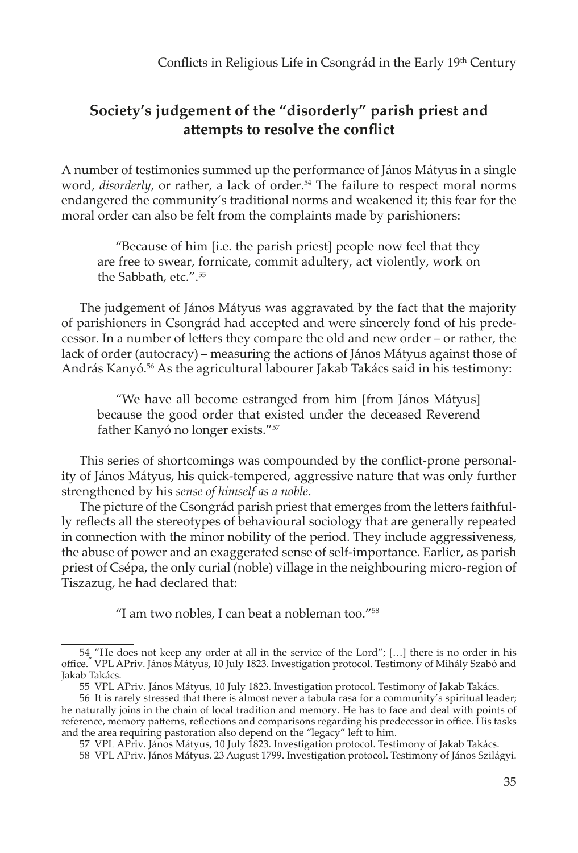## **Society's judgement of the "disorderly" parish priest and attempts to resolve the conflict**

A number of testimonies summed up the performance of János Mátyus in a single word, *disorderly*, or rather, a lack of order.<sup>54</sup> The failure to respect moral norms endangered the community's traditional norms and weakened it; this fear for the moral order can also be felt from the complaints made by parishioners:

"Because of him [i.e. the parish priest] people now feel that they are free to swear, fornicate, commit adultery, act violently, work on the Sabbath, etc.".55

The judgement of János Mátyus was aggravated by the fact that the majority of parishioners in Csongrád had accepted and were sincerely fond of his predecessor. In a number of letters they compare the old and new order – or rather, the lack of order (autocracy) – measuring the actions of János Mátyus against those of András Kanyó.<sup>56</sup> As the agricultural labourer Jakab Takács said in his testimony:

"We have all become estranged from him [from János Mátyus] because the good order that existed under the deceased Reverend father Kanyó no longer exists."<sup>57</sup>

This series of shortcomings was compounded by the conflict-prone personality of János Mátyus, his quick-tempered, aggressive nature that was only further strengthened by his *sense of himself as a noble*.

The picture of the Csongrád parish priest that emerges from the letters faithfully reflects all the stereotypes of behavioural sociology that are generally repeated in connection with the minor nobility of the period. They include aggressiveness, the abuse of power and an exaggerated sense of self-importance. Earlier, as parish priest of Csépa, the only curial (noble) village in the neighbouring micro-region of Tiszazug, he had declared that:

"I am two nobles, I can beat a nobleman too."58

<sup>54 &</sup>quot;He does not keep any order at all in the service of the Lord"; […] there is no order in his office." VPL APriv. János Mátyus, 10 July 1823. Investigation protocol. Testimony of Mihály Szabó and Jakab Takács.

<sup>55</sup> VPL APriv. János Mátyus, 10 July 1823. Investigation protocol. Testimony of Jakab Takács.

<sup>56</sup> It is rarely stressed that there is almost never a tabula rasa for a community's spiritual leader; he naturally joins in the chain of local tradition and memory. He has to face and deal with points of reference, memory patterns, reflections and comparisons regarding his predecessor in office. His tasks and the area requiring pastoration also depend on the "legacy" left to him.

<sup>57</sup> VPL APriv. János Mátyus, 10 July 1823. Investigation protocol. Testimony of Jakab Takács.

<sup>58</sup> VPL APriv. János Mátyus. 23 August 1799. Investigation protocol. Testimony of János Szilágyi.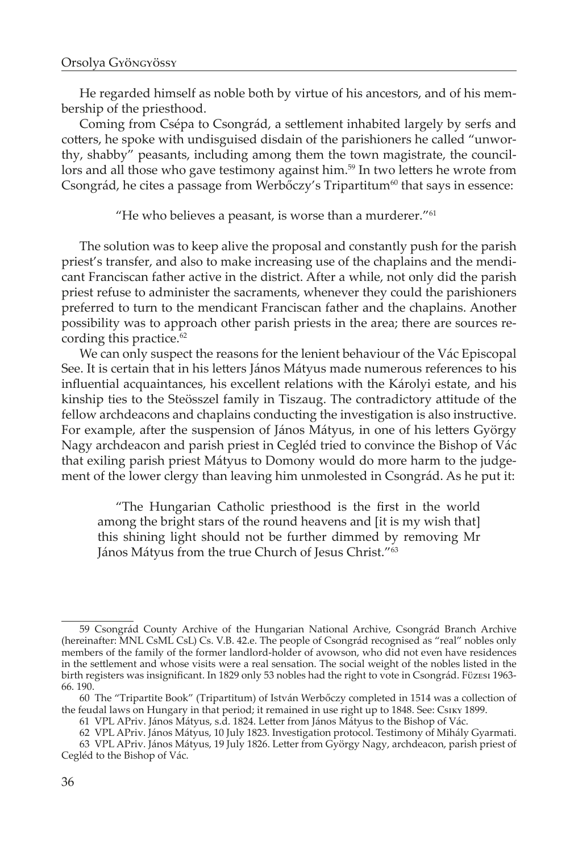He regarded himself as noble both by virtue of his ancestors, and of his membership of the priesthood.

Coming from Csépa to Csongrád, a settlement inhabited largely by serfs and cotters, he spoke with undisguised disdain of the parishioners he called "unworthy, shabby" peasants, including among them the town magistrate, the councillors and all those who gave testimony against him.<sup>59</sup> In two letters he wrote from Csongrád, he cites a passage from Werbőczy's Tripartitum<sup>60</sup> that says in essence:

"He who believes a peasant, is worse than a murderer." $61$ 

The solution was to keep alive the proposal and constantly push for the parish priest's transfer, and also to make increasing use of the chaplains and the mendicant Franciscan father active in the district. After a while, not only did the parish priest refuse to administer the sacraments, whenever they could the parishioners preferred to turn to the mendicant Franciscan father and the chaplains. Another possibility was to approach other parish priests in the area; there are sources recording this practice.<sup>62</sup>

We can only suspect the reasons for the lenient behaviour of the Vác Episcopal See. It is certain that in his letters János Mátyus made numerous references to his influential acquaintances, his excellent relations with the Károlyi estate, and his kinship ties to the Steösszel family in Tiszaug. The contradictory attitude of the fellow archdeacons and chaplains conducting the investigation is also instructive. For example, after the suspension of János Mátyus, in one of his letters György Nagy archdeacon and parish priest in Cegléd tried to convince the Bishop of Vác that exiling parish priest Mátyus to Domony would do more harm to the judgement of the lower clergy than leaving him unmolested in Csongrád. As he put it:

"The Hungarian Catholic priesthood is the first in the world among the bright stars of the round heavens and [it is my wish that] this shining light should not be further dimmed by removing Mr János Mátyus from the true Church of Jesus Christ."63

<sup>59</sup> Csongrád County Archive of the Hungarian National Archive, Csongrád Branch Archive (hereinafter: MNL CsML CsL) Cs. V.B. 42.e. The people of Csongrád recognised as "real" nobles only members of the family of the former landlord-holder of avowson, who did not even have residences in the settlement and whose visits were a real sensation. The social weight of the nobles listed in the birth registers was insignificant. In 1829 only 53 nobles had the right to vote in Csongrád. Füzesi 1963- 66. 190.

<sup>60</sup> The "Tripartite Book" (Tripartitum) of István Werbőczy completed in 1514 was a collection of the feudal laws on Hungary in that period; it remained in use right up to 1848. See: Csiky 1899.

<sup>61</sup> VPL APriv. János Mátyus, s.d. 1824. Letter from János Mátyus to the Bishop of Vác.

<sup>62</sup> VPL APriv. János Mátyus, 10 July 1823. Investigation protocol. Testimony of Mihály Gyarmati.

<sup>63</sup> VPL APriv. János Mátyus, 19 July 1826. Letter from György Nagy, archdeacon, parish priest of Cegléd to the Bishop of Vác.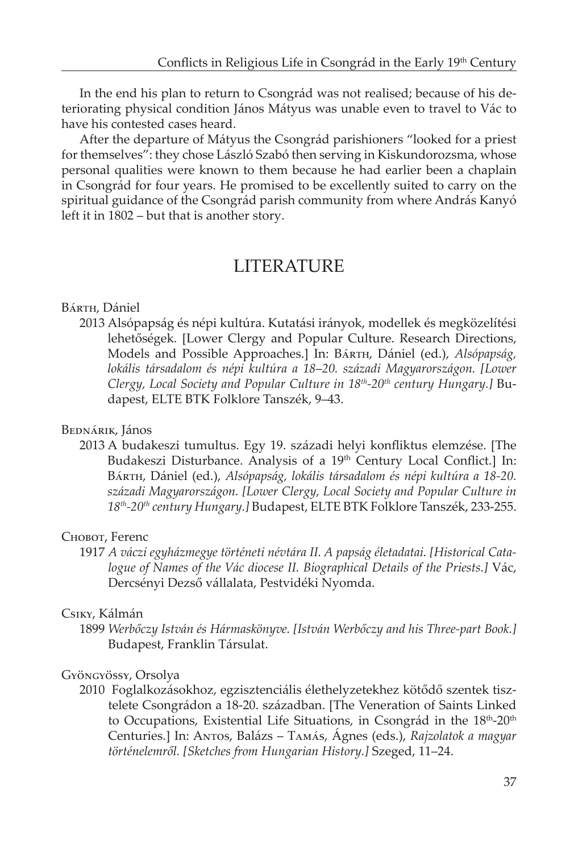In the end his plan to return to Csongrád was not realised; because of his deteriorating physical condition János Mátyus was unable even to travel to Vác to have his contested cases heard.

After the departure of Mátyus the Csongrád parishioners "looked for a priest for themselves": they chose László Szabó then serving in Kiskundorozsma, whose personal qualities were known to them because he had earlier been a chaplain in Csongrád for four years. He promised to be excellently suited to carry on the spiritual guidance of the Csongrád parish community from where András Kanyó left it in 1802 – but that is another story.

## LITERATURE

#### Bárth, Dániel

2013 Alsópapság és népi kultúra. Kutatási irányok, modellek és megközelítési lehetőségek. [Lower Clergy and Popular Culture. Research Directions, Models and Possible Approaches.] In: Bárth, Dániel (ed.), *Alsópapság, lokális társadalom és népi kultúra a 18*–*20. századi Magyarországon. [Lower Clergy, Local Society and Popular Culture in 18th-20th century Hungary.]* Budapest, ELTE BTK Folklore Tanszék, 9–43.

#### Bednárik, János

2013 A budakeszi tumultus. Egy 19. századi helyi konfliktus elemzése. [The Budakeszi Disturbance. Analysis of a 19<sup>th</sup> Century Local Conflict.] In: Bárth, Dániel (ed.), *Alsópapság, lokális társadalom és népi kultúra a 18-20. századi Magyarországon. [Lower Clergy, Local Society and Popular Culture in 18th-20th century Hungary.]* Budapest, ELTE BTK Folklore Tanszék, 233-255.

### Chobot, Ferenc

1917 *A váczi egyházmegye történeti névtára II. A papság életadatai. [Historical Catalogue of Names of the Vác diocese II. Biographical Details of the Priests.]* Vác, Dercsényi Dezső vállalata, Pestvidéki Nyomda.

#### Csiky, Kálmán

1899 *Werbőczy István és Hármaskönyve. [István Werbőczy and his Three-part Book.]*  Budapest, Franklin Társulat.

#### Gyöngyössy, Orsolya

2010 Foglalkozásokhoz, egzisztenciális élethelyzetekhez kötődő szentek tisztelete Csongrádon a 18-20. században. [The Veneration of Saints Linked to Occupations, Existential Life Situations, in Csongrád in the 18<sup>th</sup>-20<sup>th</sup> Centuries.] In: Antos, Balázs – Tamás, Ágnes (eds.), *Rajzolatok a magyar történelemről. [Sketches from Hungarian History.]* Szeged, 11–24.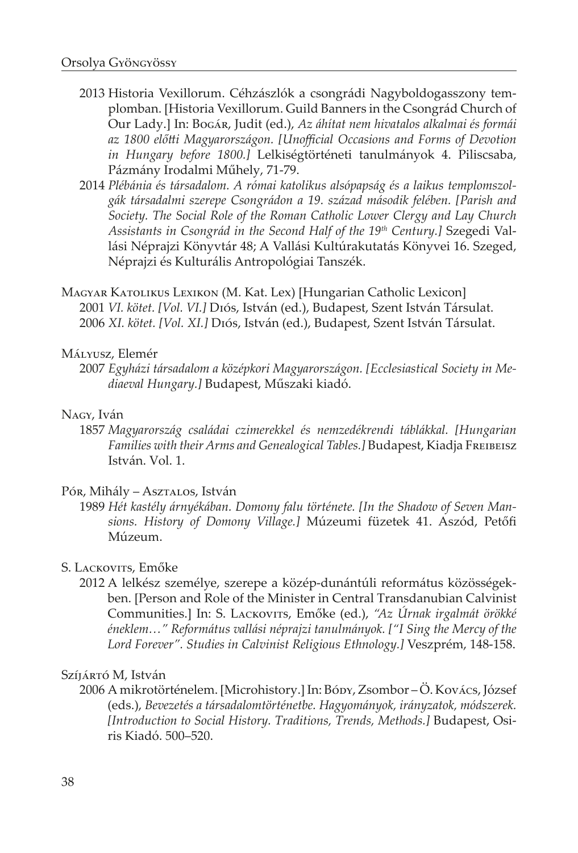- 2013 Historia Vexillorum. Céhzászlók a csongrádi Nagyboldogasszony templomban. [Historia Vexillorum. Guild Banners in the Csongrád Church of Our Lady.] In: Bogár, Judit (ed.), *Az áhítat nem hivatalos alkalmai és formái az 1800 előtti Magyarországon. [Unofficial Occasions and Forms of Devotion in Hungary before 1800.]* Lelkiségtörténeti tanulmányok 4. Piliscsaba, Pázmány Irodalmi Műhely, 71-79.
- 2014 *Plébánia és társadalom. A római katolikus alsópapság és a laikus templomszolgák társadalmi szerepe Csongrádon a 19. század második felében. [Parish and Society. The Social Role of the Roman Catholic Lower Clergy and Lay Church Assistants in Csongrád in the Second Half of the 19th Century.]* Szegedi Vallási Néprajzi Könyvtár 48; A Vallási Kultúrakutatás Könyvei 16. Szeged, Néprajzi és Kulturális Antropológiai Tanszék.
- Magyar Katolikus Lexikon (M. Kat. Lex) [Hungarian Catholic Lexicon] 2001 *VI. kötet. [Vol. VI.]* Diós, István (ed.), Budapest, Szent István Társulat. 2006 *XI. kötet. [Vol. XI.]* Diós, István (ed.), Budapest, Szent István Társulat.

#### Mályusz, Elemér

2007 *Egyházi társadalom a középkori Magyarországon. [Ecclesiastical Society in Mediaeval Hungary.]* Budapest, Műszaki kiadó.

#### Nagy, Iván

1857 *Magyarország családai czimerekkel és nemzedékrendi táblákkal. [Hungarian Families with their Arms and Genealogical Tables.]* Budapest, Kiadja Freibeisz István. Vol. 1.

#### Pór, Mihály – Asztalos, István

1989 *Hét kastély árnyékában. Domony falu története. [In the Shadow of Seven Mansions. History of Domony Village.]* Múzeumi füzetek 41. Aszód, Petőfi Múzeum.

### S. LACKOVITS, Emőke

2012 A lelkész személye, szerepe a közép-dunántúli református közösségekben. [Person and Role of the Minister in Central Transdanubian Calvinist Communities.] In: S. Lackovits, Emőke (ed.), *"Az Úrnak irgalmát örökké éneklem…" Református vallási néprajzi tanulmányok. ["I Sing the Mercy of the Lord Forever". Studies in Calvinist Religious Ethnology.]* Veszprém, 148-158.

#### Szíjártó M, István

2006 A mikrotörténelem. [Microhistory.] In: Bódy, Zsombor – Ö. Kovács, József (eds.), *Bevezetés a társadalomtörténetbe. Hagyományok, irányzatok, módszerek. [Introduction to Social History. Traditions, Trends, Methods.]* Budapest, Osiris Kiadó. 500–520.